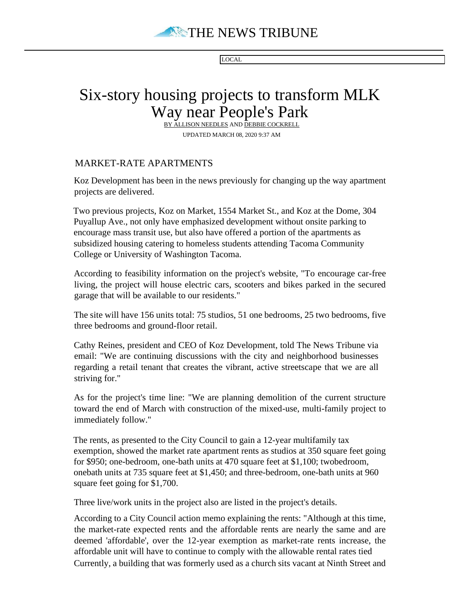

LOCAL

## Six-story housing projects to transform MLK Way near People's Park

BY ALLISON NEEDLES AND DEBBIE COCKRELL UPDATED MARCH 08, 2020 9:37 AM

## MARKET-RATE APARTMENTS

Koz Development has been in the news previously for changing up the way apartment projects are delivered.

Two previous projects, Koz on Market, 1554 Market St., and Koz at the Dome, 304 Puyallup Ave., not only have emphasized development without onsite parking to encourage mass transit use, but also have offered a portion of the apartments as subsidized housing catering to homeless students attending Tacoma Community College or University of Washington Tacoma.

According to feasibility information on the project's website, "To encourage car-free living, the project will house electric cars, scooters and bikes parked in the secured garage that will be available to our residents."

The site will have 156 units total: 75 studios, 51 one bedrooms, 25 two bedrooms, five three bedrooms and ground-floor retail.

Cathy Reines, president and CEO of Koz Development, told The News Tribune via email: "We are continuing discussions with the city and neighborhood businesses regarding a retail tenant that creates the vibrant, active streetscape that we are all striving for."

As for the project's time line: "We are planning demolition of the current structure toward the end of March with construction of the mixed-use, multi-family project to immediately follow."

The rents, as presented to the City Council to gain a 12-year multifamily tax exemption, showed the market rate apartment rents as studios at 350 square feet going for \$950; one-bedroom, one-bath units at 470 square feet at \$1,100; twobedroom, onebath units at 735 square feet at \$1,450; and three-bedroom, one-bath units at 960 square feet going for \$1,700.

Three live/work units in the project also are listed in the project's details.

According to a City Council action memo explaining the rents: "Although at this time, the market-rate expected rents and the affordable rents are nearly the same and are deemed 'affordable', over the 12-year exemption as market-rate rents increase, the affordable unit will have to continue to comply with the allowable rental rates tied Currently, a building that was formerly used as a church sits vacant at Ninth Street and